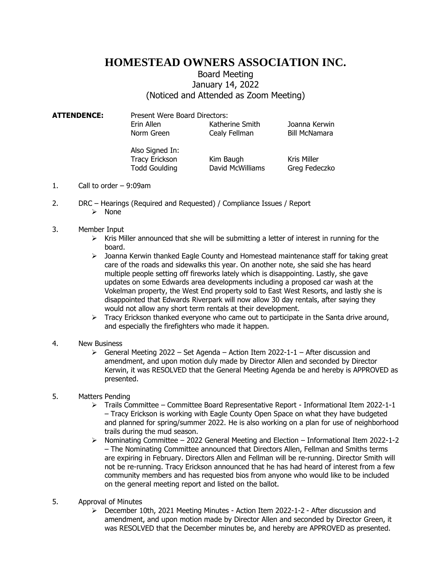## **HOMESTEAD OWNERS ASSOCIATION INC.**

## Board Meeting January 14, 2022 (Noticed and Attended as Zoom Meeting)

**ATTENDENCE:** Present Were Board Directors: Erin Allen Katherine Smith Joanna Kerwin Norm Green Cealy Fellman Bill McNamara

> Also Signed In: Tracy Erickson Kim Baugh Kris Miller Todd Goulding **David McWilliams** Greg Fedeczko

- 1. Call to order 9:09am
- 2. DRC Hearings (Required and Requested) / Compliance Issues / Report ➢ None
- 3. Member Input
	- $\triangleright$  Kris Miller announced that she will be submitting a letter of interest in running for the board.
	- ➢ Joanna Kerwin thanked Eagle County and Homestead maintenance staff for taking great care of the roads and sidewalks this year. On another note, she said she has heard multiple people setting off fireworks lately which is disappointing. Lastly, she gave updates on some Edwards area developments including a proposed car wash at the Vokelman property, the West End property sold to East West Resorts, and lastly she is disappointed that Edwards Riverpark will now allow 30 day rentals, after saying they would not allow any short term rentals at their development.
	- $\triangleright$  Tracy Erickson thanked everyone who came out to participate in the Santa drive around, and especially the firefighters who made it happen.
- 4. New Business
	- $\triangleright$  General Meeting 2022 Set Agenda Action Item 2022-1-1 After discussion and amendment, and upon motion duly made by Director Allen and seconded by Director Kerwin, it was RESOLVED that the General Meeting Agenda be and hereby is APPROVED as presented.
- 5. Matters Pending
	- ➢ Trails Committee Committee Board Representative Report Informational Item 2022-1-1 – Tracy Erickson is working with Eagle County Open Space on what they have budgeted and planned for spring/summer 2022. He is also working on a plan for use of neighborhood trails during the mud season.
	- ➢ Nominating Committee 2022 General Meeting and Election Informational Item 2022-1-2 – The Nominating Committee announced that Directors Allen, Fellman and Smiths terms are expiring in February. Directors Allen and Fellman will be re-running. Director Smith will not be re-running. Tracy Erickson announced that he has had heard of interest from a few community members and has requested bios from anyone who would like to be included on the general meeting report and listed on the ballot.
- 5. Approval of Minutes
	- ➢ December 10th, 2021 Meeting Minutes Action Item 2022-1-2 After discussion and amendment, and upon motion made by Director Allen and seconded by Director Green, it was RESOLVED that the December minutes be, and hereby are APPROVED as presented.